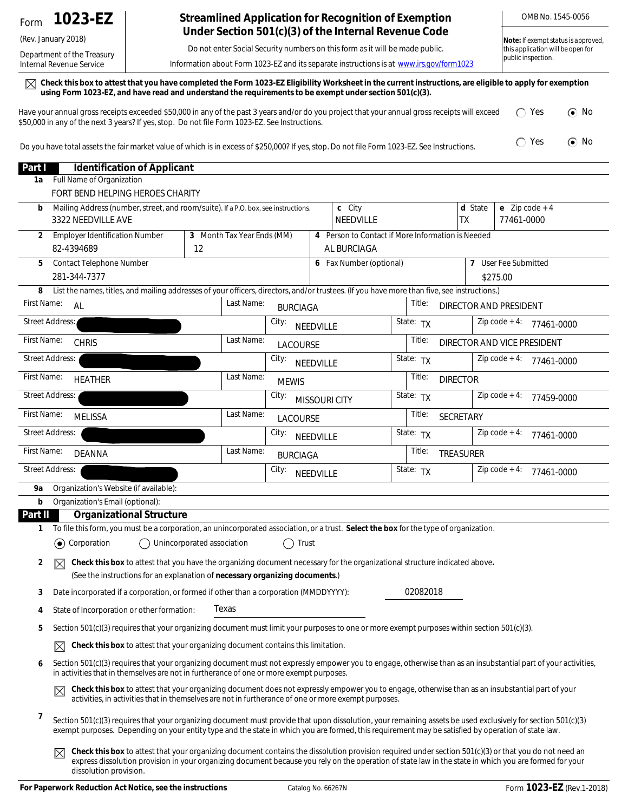## (Rev. January 2018)

Department of the Treasury Internal Revenue Service

## **Streamlined Application for Recognition of Exemption Under Section 501(c)(3) of the Internal Revenue Code**

Do not enter Social Security numbers on this form as it will be made public.

Information about Form 1023-EZ and its separate instructions is at *www.irs.gov/form1023*

 $\boxtimes$  Check this box to attest that you have completed the Form 1023-EZ Eligibility Worksheet in the current instructions, are eligible to apply for exemption **using Form 1023-EZ, and have read and understand the requirements to be exempt under section 501(c)(3).**

| Have your annual gross receipts exceeded \$50,000 in any of the past 3 years and/or do you project that your annual gross receipts will exceed | $\bigcirc$ Yes | $\odot$ No |
|------------------------------------------------------------------------------------------------------------------------------------------------|----------------|------------|
| \$50,000 in any of the next 3 years? If yes, stop. Do not file Form 1023-EZ. See Instructions.                                                 |                |            |
|                                                                                                                                                |                |            |

Do you have total assets the fair market value of which is in excess of \$250,000? If yes, stop. Do not file Form 1023-EZ. See Instructions.  $\bigcap$  Yes  $\bigcirc$  No

| Part I         |                        | <b>Identification of Applicant</b>                                                                                                                                                                                                                                                                                                        |                            |                            |                 |           |                                                                  |           |                        |                      |                                |  |
|----------------|------------------------|-------------------------------------------------------------------------------------------------------------------------------------------------------------------------------------------------------------------------------------------------------------------------------------------------------------------------------------------|----------------------------|----------------------------|-----------------|-----------|------------------------------------------------------------------|-----------|------------------------|----------------------|--------------------------------|--|
| 1a             |                        | Full Name of Organization                                                                                                                                                                                                                                                                                                                 |                            |                            |                 |           |                                                                  |           |                        |                      |                                |  |
|                |                        | FORT BEND HELPING HEROES CHARITY                                                                                                                                                                                                                                                                                                          |                            |                            |                 |           |                                                                  |           |                        |                      |                                |  |
| b              |                        | Mailing Address (number, street, and room/suite). If a P.O. box, see instructions.<br>3322 NEEDVILLE AVE                                                                                                                                                                                                                                  |                            |                            |                 |           | c City<br>NEEDVILLE                                              |           | d State<br> TX         |                      | e $Zip code + 4$<br>77461-0000 |  |
| $\overline{2}$ | 82-4394689             | <b>Employer Identification Number</b>                                                                                                                                                                                                                                                                                                     | 12                         | 3 Month Tax Year Ends (MM) |                 |           | 4 Person to Contact if More Information is Needed<br>AL BURCIAGA |           |                        |                      |                                |  |
| 5              |                        | Contact Telephone Number                                                                                                                                                                                                                                                                                                                  |                            |                            |                 |           | 6 Fax Number (optional)                                          |           |                        | 7 User Fee Submitted |                                |  |
|                | 281-344-7377           |                                                                                                                                                                                                                                                                                                                                           |                            |                            |                 |           |                                                                  |           |                        | \$275.00             |                                |  |
| 8              |                        | List the names, titles, and mailing addresses of your officers, directors, and/or trustees. (If you have more than five, see instructions.)                                                                                                                                                                                               |                            |                            |                 |           |                                                                  |           |                        |                      |                                |  |
| First Name:    | AL                     |                                                                                                                                                                                                                                                                                                                                           |                            | Last Name:                 | <b>BURCIAGA</b> |           |                                                                  | Title:    | DIRECTOR AND PRESIDENT |                      |                                |  |
|                | <b>Street Address:</b> |                                                                                                                                                                                                                                                                                                                                           |                            |                            | City:           | NEEDVILLE |                                                                  | State: TX |                        | Zip $code + 4$ :     | 77461-0000                     |  |
| First Name:    | <b>CHRIS</b>           |                                                                                                                                                                                                                                                                                                                                           |                            | Last Name:                 | <b>LACOURSE</b> |           |                                                                  | Title:    |                        |                      | DIRECTOR AND VICE PRESIDENT    |  |
|                | <b>Street Address:</b> |                                                                                                                                                                                                                                                                                                                                           |                            |                            | City:           | NEEDVILLE |                                                                  | State: TX |                        | $Zip code + 4:$      | 77461-0000                     |  |
| First Name:    |                        | <b>HEATHER</b>                                                                                                                                                                                                                                                                                                                            |                            | Last Name:                 | <b>MEWIS</b>    |           |                                                                  | Title:    | <b>DIRECTOR</b>        |                      |                                |  |
|                | <b>Street Address:</b> |                                                                                                                                                                                                                                                                                                                                           |                            |                            | City:           |           | <b>MISSOURI CITY</b>                                             | State: TX |                        | $Zip code + 4:$      | 77459-0000                     |  |
| First Name:    |                        | <b>MELISSA</b>                                                                                                                                                                                                                                                                                                                            |                            | Last Name:                 | <b>LACOURSE</b> |           |                                                                  | Title:    | SECRETARY              |                      |                                |  |
|                | <b>Street Address:</b> |                                                                                                                                                                                                                                                                                                                                           |                            |                            | City:           | NEEDVILLE |                                                                  | State: TX |                        | Zip $code + 4$ :     | 77461-0000                     |  |
| First Name:    |                        | <b>DEANNA</b>                                                                                                                                                                                                                                                                                                                             |                            | Last Name:                 | <b>BURCIAGA</b> |           |                                                                  | Title:    | <b>TREASURER</b>       |                      |                                |  |
|                | <b>Street Address:</b> |                                                                                                                                                                                                                                                                                                                                           |                            |                            | City:           | NEEDVILLE |                                                                  | State: TX |                        | $Zip code + 4:$      | 77461-0000                     |  |
| 9а             |                        | Organization's Website (if available):                                                                                                                                                                                                                                                                                                    |                            |                            |                 |           |                                                                  |           |                        |                      |                                |  |
| b              |                        | Organization's Email (optional):                                                                                                                                                                                                                                                                                                          |                            |                            |                 |           |                                                                  |           |                        |                      |                                |  |
| Part II        |                        | <b>Organizational Structure</b>                                                                                                                                                                                                                                                                                                           |                            |                            |                 |           |                                                                  |           |                        |                      |                                |  |
| 1              |                        | To file this form, you must be a corporation, an unincorporated association, or a trust. Select the box for the type of organization.                                                                                                                                                                                                     |                            |                            |                 |           |                                                                  |           |                        |                      |                                |  |
|                | (c) Corporation        |                                                                                                                                                                                                                                                                                                                                           | Unincorporated association |                            | Trust<br>$\Box$ |           |                                                                  |           |                        |                      |                                |  |
| $\overline{2}$ | $\boxtimes$            | Check this box to attest that you have the organizing document necessary for the organizational structure indicated above.<br>(See the instructions for an explanation of necessary organizing documents.)                                                                                                                                |                            |                            |                 |           |                                                                  |           |                        |                      |                                |  |
| 3              |                        | Date incorporated if a corporation, or formed if other than a corporation (MMDDYYYY):                                                                                                                                                                                                                                                     |                            |                            |                 |           |                                                                  | 02082018  |                        |                      |                                |  |
| 4              |                        | State of Incorporation or other formation:                                                                                                                                                                                                                                                                                                |                            | Texas                      |                 |           |                                                                  |           |                        |                      |                                |  |
| 5              |                        | Section 501(c)(3) requires that your organizing document must limit your purposes to one or more exempt purposes within section 501(c)(3).                                                                                                                                                                                                |                            |                            |                 |           |                                                                  |           |                        |                      |                                |  |
|                | $\boxtimes$            | Check this box to attest that your organizing document contains this limitation.                                                                                                                                                                                                                                                          |                            |                            |                 |           |                                                                  |           |                        |                      |                                |  |
| 6              |                        | Section 501(c)(3) requires that your organizing document must not expressly empower you to engage, otherwise than as an insubstantial part of your activities,<br>in activities that in themselves are not in furtherance of one or more exempt purposes.                                                                                 |                            |                            |                 |           |                                                                  |           |                        |                      |                                |  |
|                | $\boxtimes$            | Check this box to attest that your organizing document does not expressly empower you to engage, otherwise than as an insubstantial part of your<br>activities, in activities that in themselves are not in furtherance of one or more exempt purposes.                                                                                   |                            |                            |                 |           |                                                                  |           |                        |                      |                                |  |
| 7              |                        | Section 501(c)(3) requires that your organizing document must provide that upon dissolution, your remaining assets be used exclusively for section 501(c)(3)<br>exempt purposes. Depending on your entity type and the state in which you are formed, this requirement may be satisfied by operation of state law.                        |                            |                            |                 |           |                                                                  |           |                        |                      |                                |  |
|                | $\boxtimes$            | Check this box to attest that your organizing document contains the dissolution provision required under section 501(c)(3) or that you do not need an<br>express dissolution provision in your organizing document because you rely on the operation of state law in the state in which you are formed for your<br>dissolution provision. |                            |                            |                 |           |                                                                  |           |                        |                      |                                |  |

OMB No. 1545-0056

**Note:** *If exempt status is approved, this application will be open for* 

*public inspection.*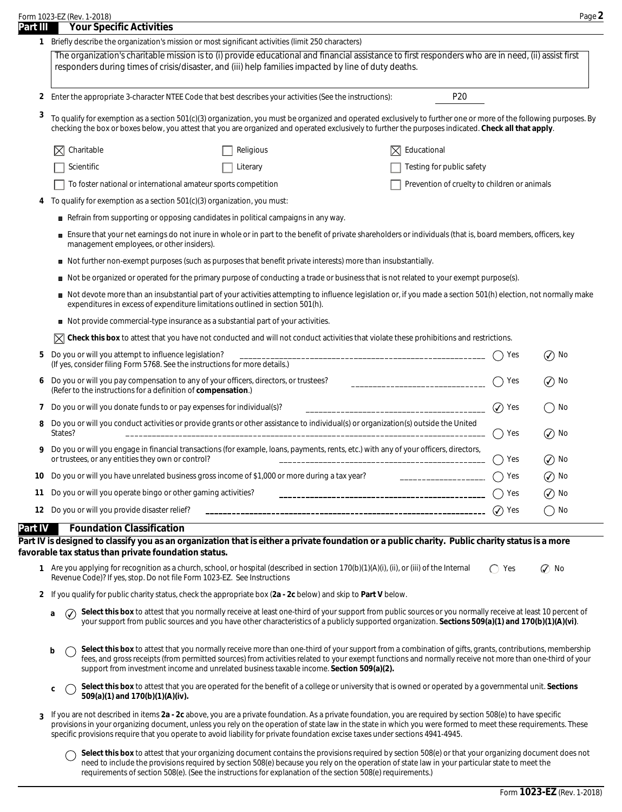| Form 1023-EZ (Rev. 1-2018) |  |
|----------------------------|--|

| Part III<br>2<br>3<br>4<br>5 | <b>Your Specific Activities</b><br>1 Briefly describe the organization's mission or most significant activities (limit 250 characters)<br>The organization's charitable mission is to (i) provide educational and financial assistance to first responders who are in need, (ii) assist first<br>responders during times of crisis/disaster, and (iii) help families impacted by line of duty deaths.<br>P <sub>20</sub><br>Enter the appropriate 3-character NTEE Code that best describes your activities (See the instructions): |                      |                                                                                                                                                    |  |
|------------------------------|-------------------------------------------------------------------------------------------------------------------------------------------------------------------------------------------------------------------------------------------------------------------------------------------------------------------------------------------------------------------------------------------------------------------------------------------------------------------------------------------------------------------------------------|----------------------|----------------------------------------------------------------------------------------------------------------------------------------------------|--|
|                              |                                                                                                                                                                                                                                                                                                                                                                                                                                                                                                                                     |                      |                                                                                                                                                    |  |
|                              |                                                                                                                                                                                                                                                                                                                                                                                                                                                                                                                                     |                      |                                                                                                                                                    |  |
|                              |                                                                                                                                                                                                                                                                                                                                                                                                                                                                                                                                     |                      |                                                                                                                                                    |  |
|                              | To qualify for exemption as a section 501(c)(3) organization, you must be organized and operated exclusively to further one or more of the following purposes. By<br>checking the box or boxes below, you attest that you are organized and operated exclusively to further the purposes indicated. Check all that apply.                                                                                                                                                                                                           |                      |                                                                                                                                                    |  |
|                              | Charitable<br>$ \nabla $ Educational<br>Religious                                                                                                                                                                                                                                                                                                                                                                                                                                                                                   |                      |                                                                                                                                                    |  |
|                              | Scientific<br>Testing for public safety<br>Literary                                                                                                                                                                                                                                                                                                                                                                                                                                                                                 |                      |                                                                                                                                                    |  |
|                              | Prevention of cruelty to children or animals<br>To foster national or international amateur sports competition                                                                                                                                                                                                                                                                                                                                                                                                                      |                      |                                                                                                                                                    |  |
|                              | To qualify for exemption as a section 501(c)(3) organization, you must:                                                                                                                                                                                                                                                                                                                                                                                                                                                             |                      |                                                                                                                                                    |  |
|                              | Refrain from supporting or opposing candidates in political campaigns in any way.                                                                                                                                                                                                                                                                                                                                                                                                                                                   |                      |                                                                                                                                                    |  |
|                              | Ensure that your net earnings do not inure in whole or in part to the benefit of private shareholders or individuals (that is, board members, officers, key<br>management employees, or other insiders).                                                                                                                                                                                                                                                                                                                            |                      |                                                                                                                                                    |  |
|                              | Not further non-exempt purposes (such as purposes that benefit private interests) more than insubstantially.                                                                                                                                                                                                                                                                                                                                                                                                                        |                      |                                                                                                                                                    |  |
|                              | Not be organized or operated for the primary purpose of conducting a trade or business that is not related to your exempt purpose(s).                                                                                                                                                                                                                                                                                                                                                                                               |                      |                                                                                                                                                    |  |
|                              | Not devote more than an insubstantial part of your activities attempting to influence legislation or, if you made a section 501(h) election, not normally make<br>expenditures in excess of expenditure limitations outlined in section 501(h).                                                                                                                                                                                                                                                                                     |                      |                                                                                                                                                    |  |
|                              | ■ Not provide commercial-type insurance as a substantial part of your activities.                                                                                                                                                                                                                                                                                                                                                                                                                                                   |                      |                                                                                                                                                    |  |
|                              | Check this box to attest that you have not conducted and will not conduct activities that violate these prohibitions and restrictions.                                                                                                                                                                                                                                                                                                                                                                                              |                      |                                                                                                                                                    |  |
|                              | Do you or will you attempt to influence legislation?<br>(If yes, consider filing Form 5768. See the instructions for more details.)                                                                                                                                                                                                                                                                                                                                                                                                 | Yes                  | $\left(\bigvee\right)$ No                                                                                                                          |  |
| 6                            | Do you or will you pay compensation to any of your officers, directors, or trustees?<br>________________________________<br>(Refer to the instructions for a definition of compensation.)                                                                                                                                                                                                                                                                                                                                           | Yes                  | $\left(\checkmark\right)$ No                                                                                                                       |  |
| 7                            | Do you or will you donate funds to or pay expenses for individual(s)?                                                                                                                                                                                                                                                                                                                                                                                                                                                               | $\circledcirc$ Yes   | No                                                                                                                                                 |  |
| 8                            | Do you or will you conduct activities or provide grants or other assistance to individual(s) or organization(s) outside the United<br>States?                                                                                                                                                                                                                                                                                                                                                                                       | Yes                  | No<br>$\left( \bigvee \right)$                                                                                                                     |  |
|                              | Do you or will you engage in financial transactions (for example, loans, payments, rents, etc.) with any of your officers, directors,<br>or trustees, or any entities they own or control?                                                                                                                                                                                                                                                                                                                                          | Yes<br>$($ )         | $\circledcirc$ No                                                                                                                                  |  |
| 10                           | Do you or will you have unrelated business gross income of \$1,000 or more during a tax year?<br>_____________________                                                                                                                                                                                                                                                                                                                                                                                                              | Yes                  | No<br>$\mathcal{N}$                                                                                                                                |  |
| 11                           | Do you or will you operate bingo or other gaming activities?                                                                                                                                                                                                                                                                                                                                                                                                                                                                        | Yes                  | $\cal Q$<br>No                                                                                                                                     |  |
|                              | 12 Do you or will you provide disaster relief?                                                                                                                                                                                                                                                                                                                                                                                                                                                                                      | Yes<br>$\mathcal{L}$ | No                                                                                                                                                 |  |
| Part IV                      | <b>Foundation Classification</b>                                                                                                                                                                                                                                                                                                                                                                                                                                                                                                    |                      |                                                                                                                                                    |  |
|                              | Part IV is designed to classify you as an organization that is either a private foundation or a public charity. Public charity status is a more<br>favorable tax status than private foundation status.                                                                                                                                                                                                                                                                                                                             |                      |                                                                                                                                                    |  |
|                              | 1 Are you applying for recognition as a church, school, or hospital (described in section 170(b)(1)(A)(i), (ii), or (iii) of the Internal<br>Revenue Code)? If yes, stop. Do not file Form 1023-EZ. See Instructions                                                                                                                                                                                                                                                                                                                | Yes                  | $\oslash$ No                                                                                                                                       |  |
|                              | 2 If you qualify for public charity status, check the appropriate box (2a - 2c below) and skip to Part V below.                                                                                                                                                                                                                                                                                                                                                                                                                     |                      |                                                                                                                                                    |  |
| a                            | Select this box to attest that you normally receive at least one-third of your support from public sources or you normally receive at least 10 percent of                                                                                                                                                                                                                                                                                                                                                                           |                      | your support from public sources and you have other characteristics of a publicly supported organization. Sections 509(a)(1) and 170(b)(1)(A)(vi). |  |

- Select this box to attest that you normally receive more than one-third of your support from a combination of gifts, grants, contributions, membership **b**  $( )$ fees, and gross receipts (from permitted sources) from activities related to your exempt functions and normally receive not more than one-third of your support from investment income and unrelated business taxable income. **Section 509(a)(2).**
- **Select this box** to attest that you are operated for the benefit of a college or university that is owned or operated by a governmental unit. **Sections 509(a)(1)** and 170(b)(1)(A)(iv). **c**  $\bigcirc$  **509(a)(1)** and 170(b)(1)(A)(iv).
- If you are not described in items **2a 2c** above, you are a private foundation. As a private foundation, you are required by section 508(e) to have specific **3** provisions in your organizing document, unless you rely on the operation of state law in the state in which you were formed to meet these requirements. These specific provisions require that you operate to avoid liability for private foundation excise taxes under sections 4941-4945.

Select this box to attest that your organizing document contains the provisions required by section 508(e) or that your organizing document does not  $\bigcirc$ need to include the provisions required by section 508(e) because you rely on the operation of state law in your particular state to meet the requirements of section 508(e). (See the instructions for explanation of the section 508(e) requirements.)